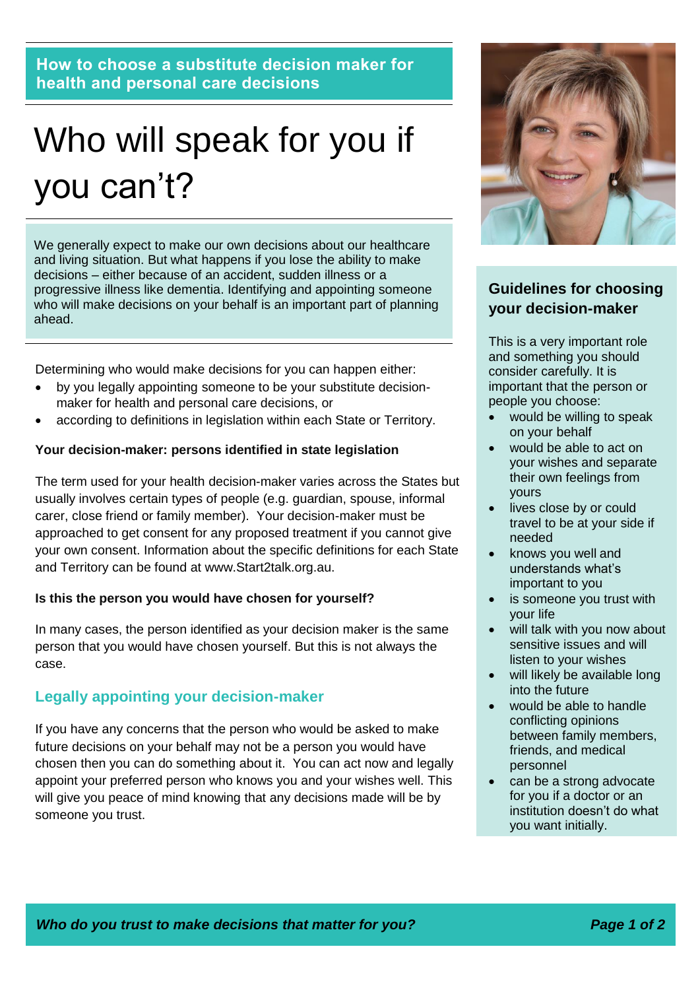**How to choose a substitute decision maker for health and personal care decisions**

# Who will speak for you if you can't?

We generally expect to make our own decisions about our healthcare and living situation. But what happens if you lose the ability to make decisions – either because of an accident, sudden illness or a progressive illness like dementia. Identifying and appointing someone who will make decisions on your behalf is an important part of planning ahead.

Determining who would make decisions for you can happen either:

- by you legally appointing someone to be your substitute decisionmaker for health and personal care decisions, or
- according to definitions in legislation within each State or Territory.

#### **Your decision-maker: persons identified in state legislation**

The term used for your health decision-maker varies across the States but usually involves certain types of people (e.g. guardian, spouse, informal carer, close friend or family member). Your decision-maker must be approached to get consent for any proposed treatment if you cannot give your own consent. Information about the specific definitions for each State and Territory can be found at www.Start2talk.org.au.

#### **Is this the person you would have chosen for yourself?**

In many cases, the person identified as your decision maker is the same person that you would have chosen yourself. But this is not always the case.

### **Legally appointing your decision-maker**

If you have any concerns that the person who would be asked to make future decisions on your behalf may not be a person you would have chosen then you can do something about it. You can act now and legally appoint your preferred person who knows you and your wishes well. This will give you peace of mind knowing that any decisions made will be by someone you trust.



# **Guidelines for choosing your decision-maker**

This is a very important role and something you should consider carefully. It is important that the person or people you choose:

- would be willing to speak on your behalf
- would be able to act on your wishes and separate their own feelings from yours
- lives close by or could travel to be at your side if needed
- knows you well and understands what's important to you
- is someone you trust with your life
- will talk with you now about sensitive issues and will listen to your wishes
- will likely be available long into the future
- would be able to handle conflicting opinions between family members, friends, and medical personnel
- can be a strong advocate for you if a doctor or an institution doesn't do what you want initially.